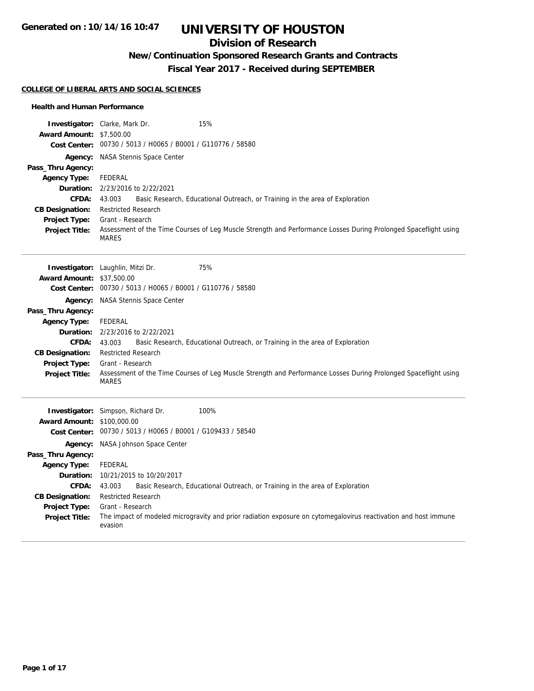## **Division of Research**

## **New/Continuation Sponsored Research Grants and Contracts**

**Fiscal Year 2017 - Received during SEPTEMBER**

#### **COLLEGE OF LIBERAL ARTS AND SOCIAL SCIENCES**

#### **Health and Human Performance**

|                                                | <b>Investigator:</b> Clarke, Mark Dr.<br>15%                                                                                    |  |  |
|------------------------------------------------|---------------------------------------------------------------------------------------------------------------------------------|--|--|
| Award Amount: \$7,500.00                       | Cost Center: 00730 / 5013 / H0065 / B0001 / G110776 / 58580                                                                     |  |  |
|                                                | <b>Agency:</b> NASA Stennis Space Center                                                                                        |  |  |
| Pass_Thru Agency:                              |                                                                                                                                 |  |  |
| <b>Agency Type:</b>                            | <b>FEDERAL</b>                                                                                                                  |  |  |
|                                                | Duration: 2/23/2016 to 2/22/2021                                                                                                |  |  |
| <b>CFDA:</b>                                   | Basic Research, Educational Outreach, or Training in the area of Exploration<br>43.003                                          |  |  |
| <b>CB Designation:</b>                         | <b>Restricted Research</b>                                                                                                      |  |  |
| Project Type:                                  | Grant - Research                                                                                                                |  |  |
| <b>Project Title:</b>                          | Assessment of the Time Courses of Leg Muscle Strength and Performance Losses During Prolonged Spaceflight using<br><b>MARES</b> |  |  |
|                                                | 75%<br><b>Investigator:</b> Laughlin, Mitzi Dr.                                                                                 |  |  |
| <b>Award Amount: \$37,500.00</b>               |                                                                                                                                 |  |  |
|                                                | Cost Center: 00730 / 5013 / H0065 / B0001 / G110776 / 58580                                                                     |  |  |
| Agency:                                        | NASA Stennis Space Center                                                                                                       |  |  |
| Pass_Thru Agency:                              |                                                                                                                                 |  |  |
| <b>Agency Type:</b>                            | <b>FEDERAL</b>                                                                                                                  |  |  |
|                                                | <b>Duration:</b> 2/23/2016 to 2/22/2021                                                                                         |  |  |
| <b>CFDA:</b>                                   | Basic Research, Educational Outreach, or Training in the area of Exploration<br>43.003                                          |  |  |
| <b>CB Designation:</b><br><b>Project Type:</b> | <b>Restricted Research</b><br>Grant - Research                                                                                  |  |  |
| <b>Project Title:</b>                          | Assessment of the Time Courses of Leg Muscle Strength and Performance Losses During Prolonged Spaceflight using<br><b>MARES</b> |  |  |
|                                                | Investigator: Simpson, Richard Dr.<br>100%                                                                                      |  |  |
| <b>Award Amount: \$100,000.00</b>              |                                                                                                                                 |  |  |
|                                                | Cost Center: 00730 / 5013 / H0065 / B0001 / G109433 / 58540                                                                     |  |  |
| Agency:                                        | NASA Johnson Space Center                                                                                                       |  |  |
| Pass_Thru Agency:                              |                                                                                                                                 |  |  |
| <b>Agency Type:</b>                            | <b>FEDERAL</b>                                                                                                                  |  |  |
| Duration:                                      | 10/21/2015 to 10/20/2017                                                                                                        |  |  |
| <b>CFDA:</b><br><b>CB Designation:</b>         | 43.003<br>Basic Research, Educational Outreach, or Training in the area of Exploration<br><b>Restricted Research</b>            |  |  |
| Project Type:                                  | Grant - Research                                                                                                                |  |  |
| <b>Project Title:</b>                          | The impact of modeled microgravity and prior radiation exposure on cytomegalovirus reactivation and host immune<br>evasion      |  |  |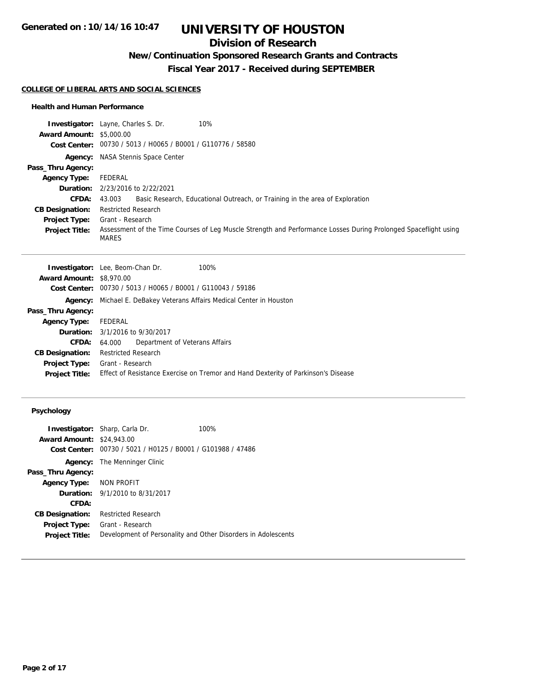### **Division of Research**

## **New/Continuation Sponsored Research Grants and Contracts**

**Fiscal Year 2017 - Received during SEPTEMBER**

#### **COLLEGE OF LIBERAL ARTS AND SOCIAL SCIENCES**

#### **Health and Human Performance**

|                                 | 10%<br><b>Investigator:</b> Layne, Charles S. Dr.                                                                               |
|---------------------------------|---------------------------------------------------------------------------------------------------------------------------------|
| <b>Award Amount: \$5,000.00</b> |                                                                                                                                 |
|                                 | Cost Center: 00730 / 5013 / H0065 / B0001 / G110776 / 58580                                                                     |
| Agency:                         | NASA Stennis Space Center                                                                                                       |
| Pass_Thru Agency:               |                                                                                                                                 |
| <b>Agency Type:</b>             | FEDERAL                                                                                                                         |
|                                 | <b>Duration:</b> 2/23/2016 to 2/22/2021                                                                                         |
| CFDA:                           | Basic Research, Educational Outreach, or Training in the area of Exploration<br>43.003                                          |
| <b>CB Designation:</b>          | <b>Restricted Research</b>                                                                                                      |
| <b>Project Type:</b>            | Grant - Research                                                                                                                |
| <b>Project Title:</b>           | Assessment of the Time Courses of Leg Muscle Strength and Performance Losses During Prolonged Spaceflight using<br><b>MARES</b> |

|                                 | <b>Investigator:</b> Lee, Beom-Chan Dr.<br>100%                                                  |  |
|---------------------------------|--------------------------------------------------------------------------------------------------|--|
| <b>Award Amount: \$8,970.00</b> |                                                                                                  |  |
|                                 | Cost Center: 00730 / 5013 / H0065 / B0001 / G110043 / 59186                                      |  |
|                                 | Agency: Michael E. DeBakey Veterans Affairs Medical Center in Houston                            |  |
| Pass_Thru Agency:               |                                                                                                  |  |
| <b>Agency Type:</b>             | FEDERAL                                                                                          |  |
|                                 | <b>Duration:</b> 3/1/2016 to 9/30/2017                                                           |  |
| <b>CFDA:</b>                    | Department of Veterans Affairs<br>64.000                                                         |  |
| <b>CB Designation:</b>          | <b>Restricted Research</b>                                                                       |  |
|                                 | <b>Project Type:</b> Grant - Research                                                            |  |
|                                 | Project Title: Effect of Resistance Exercise on Tremor and Hand Dexterity of Parkinson's Disease |  |
|                                 |                                                                                                  |  |

#### **Psychology**

|                                  | <b>Investigator:</b> Sharp, Carla Dr.          | 100%                                                          |
|----------------------------------|------------------------------------------------|---------------------------------------------------------------|
| <b>Award Amount: \$24,943.00</b> |                                                |                                                               |
| Cost Center:                     | 00730 / 5021 / H0125 / B0001 / G101988 / 47486 |                                                               |
|                                  | <b>Agency:</b> The Menninger Clinic            |                                                               |
| Pass_Thru Agency:                |                                                |                                                               |
| <b>Agency Type:</b>              | NON PROFIT                                     |                                                               |
|                                  | <b>Duration:</b> 9/1/2010 to 8/31/2017         |                                                               |
| CFDA:                            |                                                |                                                               |
| <b>CB Designation:</b>           | <b>Restricted Research</b>                     |                                                               |
| Project Type:                    | Grant - Research                               |                                                               |
| <b>Project Title:</b>            |                                                | Development of Personality and Other Disorders in Adolescents |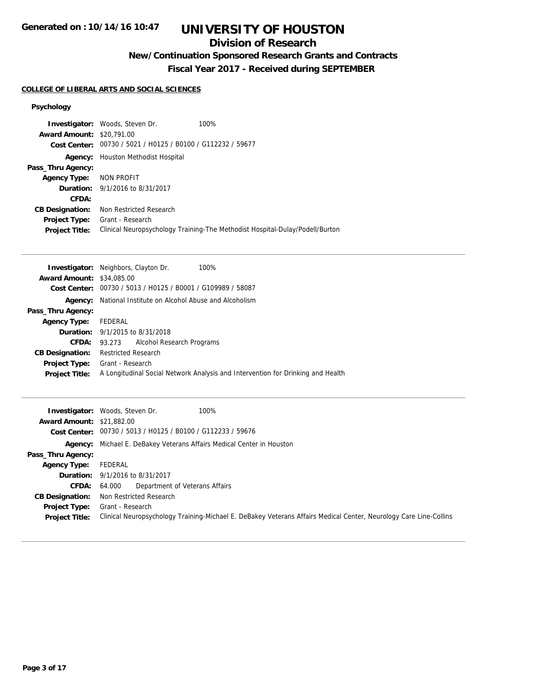### **Division of Research**

# **New/Continuation Sponsored Research Grants and Contracts**

**Fiscal Year 2017 - Received during SEPTEMBER**

#### **COLLEGE OF LIBERAL ARTS AND SOCIAL SCIENCES**

#### **Psychology**

|                                  | <b>Investigator:</b> Woods, Steven Dr.                      | 100%                                                                         |
|----------------------------------|-------------------------------------------------------------|------------------------------------------------------------------------------|
| <b>Award Amount: \$20.791.00</b> |                                                             |                                                                              |
|                                  | Cost Center: 00730 / 5021 / H0125 / B0100 / G112232 / 59677 |                                                                              |
| Agency:                          | Houston Methodist Hospital                                  |                                                                              |
| Pass_Thru Agency:                |                                                             |                                                                              |
| Agency Type: NON PROFIT          |                                                             |                                                                              |
|                                  | <b>Duration:</b> 9/1/2016 to 8/31/2017                      |                                                                              |
| CFDA:                            |                                                             |                                                                              |
| <b>CB Designation:</b>           | Non Restricted Research                                     |                                                                              |
| <b>Project Type:</b>             | Grant - Research                                            |                                                                              |
| <b>Project Title:</b>            |                                                             | Clinical Neuropsychology Training-The Methodist Hospital-Dulay/Podell/Burton |

|                                  | <b>Investigator:</b> Neighbors, Clayton Dr.<br>100%                             |
|----------------------------------|---------------------------------------------------------------------------------|
| <b>Award Amount: \$34,085,00</b> |                                                                                 |
| Cost Center:                     | 00730 / 5013 / H0125 / B0001 / G109989 / 58087                                  |
| Agency:                          | National Institute on Alcohol Abuse and Alcoholism                              |
| Pass_Thru Agency:                |                                                                                 |
| <b>Agency Type:</b>              | FEDERAL                                                                         |
|                                  | <b>Duration:</b> 9/1/2015 to 8/31/2018                                          |
| <b>CFDA:</b>                     | 93.273 Alcohol Research Programs                                                |
| <b>CB Designation:</b>           | <b>Restricted Research</b>                                                      |
| <b>Project Type:</b>             | Grant - Research                                                                |
| <b>Project Title:</b>            | A Longitudinal Social Network Analysis and Intervention for Drinking and Health |

| <b>Award Amount: \$21,882.00</b>              | 100%<br><b>Investigator:</b> Woods, Steven Dr.                                                                                        |  |
|-----------------------------------------------|---------------------------------------------------------------------------------------------------------------------------------------|--|
|                                               | Cost Center: 00730 / 5013 / H0125 / B0100 / G112233 / 59676                                                                           |  |
|                                               | <b>Agency:</b> Michael E. DeBakey Veterans Affairs Medical Center in Houston                                                          |  |
| Pass_Thru Agency:                             |                                                                                                                                       |  |
| <b>Agency Type:</b>                           | FEDERAL                                                                                                                               |  |
|                                               | <b>Duration:</b> 9/1/2016 to 8/31/2017                                                                                                |  |
| CFDA:                                         | Department of Veterans Affairs<br>64.000                                                                                              |  |
| <b>CB Designation:</b>                        | Non Restricted Research                                                                                                               |  |
| <b>Project Type:</b><br><b>Project Title:</b> | Grant - Research<br>Clinical Neuropsychology Training-Michael E. DeBakey Veterans Affairs Medical Center, Neurology Care Line-Collins |  |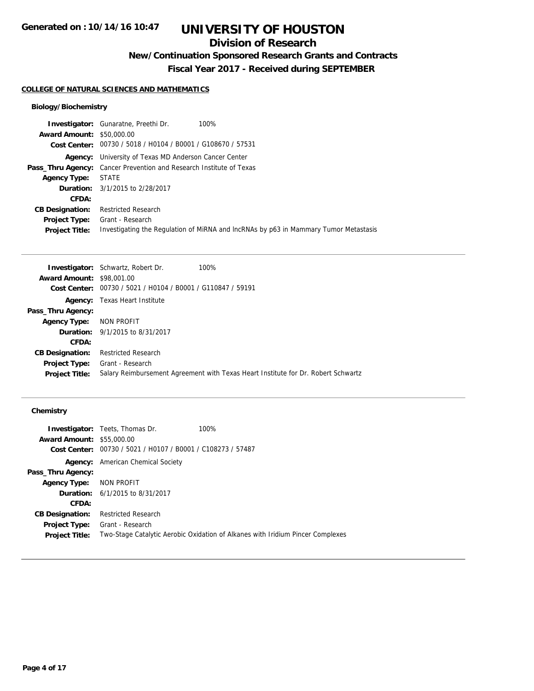## **Division of Research**

**New/Continuation Sponsored Research Grants and Contracts**

**Fiscal Year 2017 - Received during SEPTEMBER**

#### **COLLEGE OF NATURAL SCIENCES AND MATHEMATICS**

#### **Biology/Biochemistry**

|                                  | <b>Investigator:</b> Gunaratne, Preethi Dr.<br>100%                                  |  |
|----------------------------------|--------------------------------------------------------------------------------------|--|
| <b>Award Amount: \$50,000.00</b> |                                                                                      |  |
|                                  | Cost Center: 00730 / 5018 / H0104 / B0001 / G108670 / 57531                          |  |
|                                  | <b>Agency:</b> University of Texas MD Anderson Cancer Center                         |  |
|                                  | <b>Pass_Thru Agency:</b> Cancer Prevention and Research Institute of Texas           |  |
| Agency Type:                     | STATE                                                                                |  |
|                                  | <b>Duration:</b> 3/1/2015 to 2/28/2017                                               |  |
| CFDA:                            |                                                                                      |  |
| <b>CB Designation:</b>           | <b>Restricted Research</b>                                                           |  |
| <b>Project Type:</b>             | Grant - Research                                                                     |  |
| <b>Project Title:</b>            | Investigating the Regulation of MiRNA and IncRNAs by p63 in Mammary Tumor Metastasis |  |

|                                  | <b>Investigator:</b> Schwartz, Robert Dr.                   | 100%                                                                              |
|----------------------------------|-------------------------------------------------------------|-----------------------------------------------------------------------------------|
| <b>Award Amount: \$98,001.00</b> |                                                             |                                                                                   |
|                                  | Cost Center: 00730 / 5021 / H0104 / B0001 / G110847 / 59191 |                                                                                   |
|                                  | <b>Agency:</b> Texas Heart Institute                        |                                                                                   |
| Pass_Thru Agency:                |                                                             |                                                                                   |
| Agency Type: NON PROFIT          |                                                             |                                                                                   |
|                                  | <b>Duration:</b> 9/1/2015 to 8/31/2017                      |                                                                                   |
| <b>CFDA:</b>                     |                                                             |                                                                                   |
| <b>CB Designation:</b>           | <b>Restricted Research</b>                                  |                                                                                   |
| Project Type:                    | Grant - Research                                            |                                                                                   |
| <b>Project Title:</b>            |                                                             | Salary Reimbursement Agreement with Texas Heart Institute for Dr. Robert Schwartz |
|                                  |                                                             |                                                                                   |

#### **Chemistry**

| <b>Investigator:</b> Teets, Thomas Dr.         | 100%                                                                           |
|------------------------------------------------|--------------------------------------------------------------------------------|
| <b>Award Amount: \$55,000.00</b>               |                                                                                |
| 00730 / 5021 / H0107 / B0001 / C108273 / 57487 |                                                                                |
| <b>Agency:</b> American Chemical Society       |                                                                                |
|                                                |                                                                                |
| Agency Type: NON PROFIT                        |                                                                                |
| <b>Duration:</b> 6/1/2015 to 8/31/2017         |                                                                                |
|                                                |                                                                                |
| Restricted Research                            |                                                                                |
| Grant - Research                               |                                                                                |
|                                                | Two-Stage Catalytic Aerobic Oxidation of Alkanes with Iridium Pincer Complexes |
|                                                |                                                                                |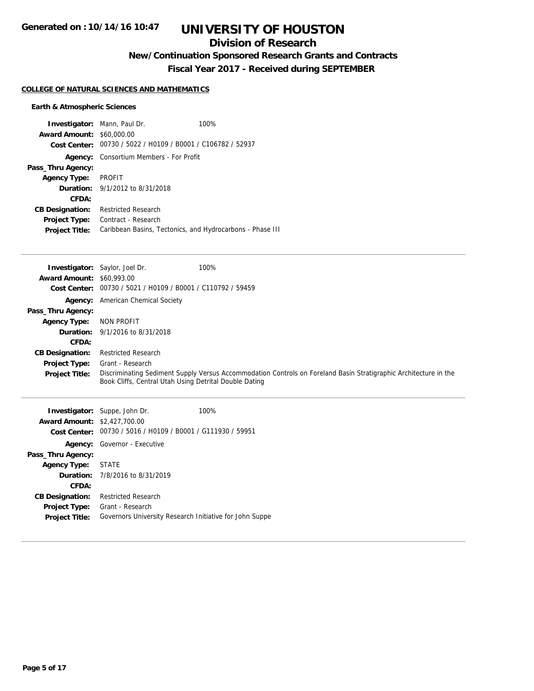### **Division of Research**

**New/Continuation Sponsored Research Grants and Contracts**

**Fiscal Year 2017 - Received during SEPTEMBER**

#### **COLLEGE OF NATURAL SCIENCES AND MATHEMATICS**

#### **Earth & Atmospheric Sciences**

| <b>Award Amount: \$60,000.00</b> | <b>Investigator:</b> Mann, Paul Dr.<br>Cost Center: 00730 / 5022 / H0109 / B0001 / C106782 / 52937 | 100% |
|----------------------------------|----------------------------------------------------------------------------------------------------|------|
| Agency:                          | Consortium Members - For Profit                                                                    |      |
| Pass_Thru Agency:                |                                                                                                    |      |
| <b>Agency Type:</b>              | PROFIT                                                                                             |      |
|                                  | <b>Duration:</b> 9/1/2012 to 8/31/2018                                                             |      |
| CFDA:                            |                                                                                                    |      |
| <b>CB Designation:</b>           | <b>Restricted Research</b>                                                                         |      |
| <b>Project Type:</b>             | Contract - Research                                                                                |      |
| <b>Project Title:</b>            | Caribbean Basins, Tectonics, and Hydrocarbons - Phase III                                          |      |

|                                  | <b>Investigator:</b> Saylor, Joel Dr.                  | 100%                                                                                                             |
|----------------------------------|--------------------------------------------------------|------------------------------------------------------------------------------------------------------------------|
| <b>Award Amount: \$60,993.00</b> |                                                        |                                                                                                                  |
| Cost Center:                     | 00730 / 5021 / H0109 / B0001 / C110792 / 59459         |                                                                                                                  |
|                                  | <b>Agency:</b> American Chemical Society               |                                                                                                                  |
| Pass_Thru Agency:                |                                                        |                                                                                                                  |
| Agency Type:                     | NON PROFIT                                             |                                                                                                                  |
|                                  | <b>Duration:</b> 9/1/2016 to 8/31/2018                 |                                                                                                                  |
| CFDA:                            |                                                        |                                                                                                                  |
| <b>CB Designation:</b>           | <b>Restricted Research</b>                             |                                                                                                                  |
| <b>Project Type:</b>             | Grant - Research                                       |                                                                                                                  |
| <b>Project Title:</b>            | Book Cliffs, Central Utah Using Detrital Double Dating | Discriminating Sediment Supply Versus Accommodation Controls on Foreland Basin Stratigraphic Architecture in the |
|                                  |                                                        |                                                                                                                  |

|                                     | <b>Investigator:</b> Suppe, John Dr.                        | 100% |
|-------------------------------------|-------------------------------------------------------------|------|
| <b>Award Amount: \$2,427,700.00</b> |                                                             |      |
|                                     | Cost Center: 00730 / 5016 / H0109 / B0001 / G111930 / 59951 |      |
|                                     | <b>Agency:</b> Governor - Executive                         |      |
| Pass_Thru Agency:                   |                                                             |      |
| Agency Type: STATE                  |                                                             |      |
|                                     | <b>Duration:</b> 7/8/2016 to 8/31/2019                      |      |
| CFDA:                               |                                                             |      |
| <b>CB Designation:</b>              | Restricted Research                                         |      |
| <b>Project Type:</b>                | Grant - Research                                            |      |
| <b>Project Title:</b>               | Governors University Research Initiative for John Suppe     |      |
|                                     |                                                             |      |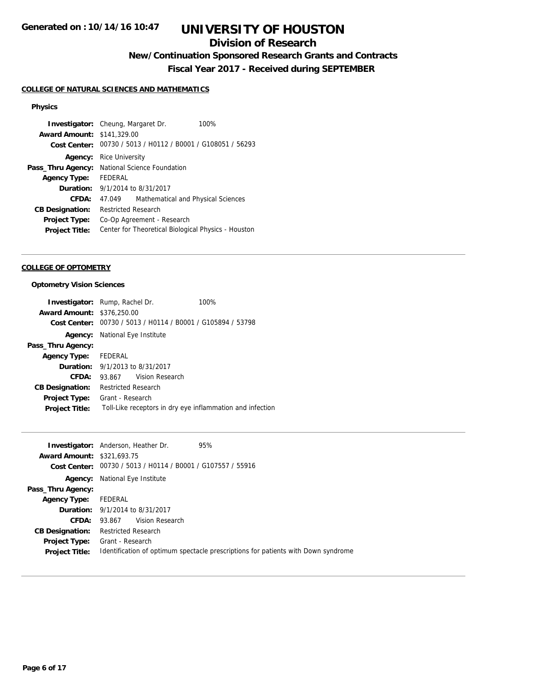### **Division of Research**

## **New/Continuation Sponsored Research Grants and Contracts**

**Fiscal Year 2017 - Received during SEPTEMBER**

#### **COLLEGE OF NATURAL SCIENCES AND MATHEMATICS**

#### **Physics**

|                                   | <b>Investigator:</b> Cheung, Margaret Dr. | 100%                                                        |
|-----------------------------------|-------------------------------------------|-------------------------------------------------------------|
| <b>Award Amount: \$141,329.00</b> |                                           |                                                             |
|                                   |                                           | Cost Center: 00730 / 5013 / H0112 / B0001 / G108051 / 56293 |
| Agency:                           | Rice University                           |                                                             |
| Pass_Thru Agency:                 | National Science Foundation               |                                                             |
| <b>Agency Type:</b>               | <b>FFDFRAL</b>                            |                                                             |
| Duration:                         | 9/1/2014 to 8/31/2017                     |                                                             |
| CFDA:                             | 47.049                                    | Mathematical and Physical Sciences                          |
| <b>CB Designation:</b>            | <b>Restricted Research</b>                |                                                             |
| <b>Project Type:</b>              | Co-Op Agreement - Research                |                                                             |
| <b>Project Title:</b>             |                                           | Center for Theoretical Biological Physics - Houston         |

#### **COLLEGE OF OPTOMETRY**

#### **Optometry Vision Sciences**

|                                   | <b>Investigator:</b> Rump, Rachel Dr.                       | 100%                                                      |
|-----------------------------------|-------------------------------------------------------------|-----------------------------------------------------------|
| <b>Award Amount: \$376,250.00</b> |                                                             |                                                           |
|                                   | Cost Center: 00730 / 5013 / H0114 / B0001 / G105894 / 53798 |                                                           |
|                                   | <b>Agency:</b> National Eye Institute                       |                                                           |
| Pass_Thru Agency:                 |                                                             |                                                           |
| Agency Type: FEDERAL              |                                                             |                                                           |
|                                   | <b>Duration:</b> 9/1/2013 to 8/31/2017                      |                                                           |
| CFDA:                             | 93.867 Vision Research                                      |                                                           |
| <b>CB Designation:</b>            | <b>Restricted Research</b>                                  |                                                           |
| Project Type:                     | Grant - Research                                            |                                                           |
| <b>Project Title:</b>             |                                                             | Toll-Like receptors in dry eye inflammation and infection |

|                                   | <b>Investigator:</b> Anderson, Heather Dr. | 95%                                                                               |
|-----------------------------------|--------------------------------------------|-----------------------------------------------------------------------------------|
| <b>Award Amount: \$321,693.75</b> |                                            |                                                                                   |
|                                   |                                            | Cost Center: 00730 / 5013 / H0114 / B0001 / G107557 / 55916                       |
| Agency:                           | National Eye Institute                     |                                                                                   |
| Pass_Thru Agency:                 |                                            |                                                                                   |
| <b>Agency Type:</b>               | FEDERAL                                    |                                                                                   |
|                                   | <b>Duration:</b> 9/1/2014 to 8/31/2017     |                                                                                   |
| CFDA:                             | 93.867 Vision Research                     |                                                                                   |
| <b>CB Designation:</b>            | Restricted Research                        |                                                                                   |
| <b>Project Type:</b>              | Grant - Research                           |                                                                                   |
| <b>Project Title:</b>             |                                            | Identification of optimum spectacle prescriptions for patients with Down syndrome |
|                                   |                                            |                                                                                   |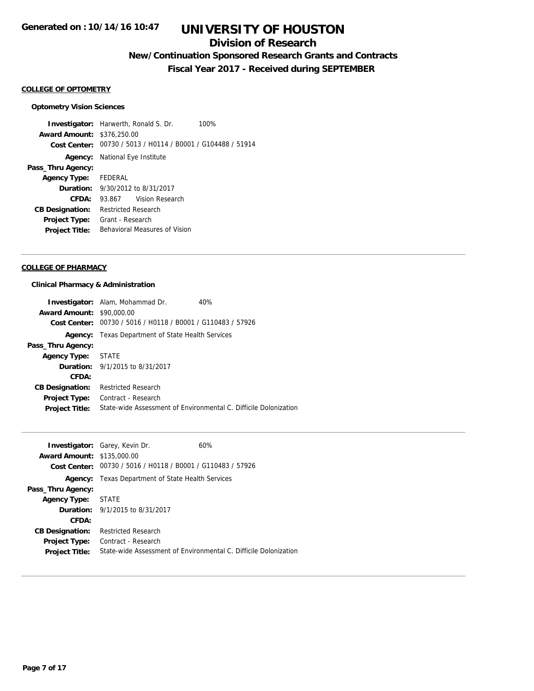### **Division of Research**

## **New/Continuation Sponsored Research Grants and Contracts**

**Fiscal Year 2017 - Received during SEPTEMBER**

#### **COLLEGE OF OPTOMETRY**

#### **Optometry Vision Sciences**

**Investigator:** Harwerth, Ronald S. Dr. 100% **Award Amount:** \$376,250.00 **Cost Center:** 00730 / 5013 / H0114 / B0001 / G104488 / 51914 **Agency:** National Eye Institute **Pass\_Thru Agency: Agency Type:** FEDERAL **Duration:** 9/30/2012 to 8/31/2017 **CFDA:** 93.867 Vision Research **CB Designation:** Restricted Research **Project Type:** Grant - Research **Project Title:** Behavioral Measures of Vision

#### **COLLEGE OF PHARMACY**

#### **Clinical Pharmacy & Administration**

|                                  | <b>Investigator:</b> Alam, Mohammad Dr.                     | 40%                                                              |
|----------------------------------|-------------------------------------------------------------|------------------------------------------------------------------|
| <b>Award Amount: \$90,000.00</b> |                                                             |                                                                  |
|                                  | Cost Center: 00730 / 5016 / H0118 / B0001 / G110483 / 57926 |                                                                  |
| Agency:                          | Texas Department of State Health Services                   |                                                                  |
| Pass_Thru Agency:                |                                                             |                                                                  |
| <b>Agency Type:</b>              | STATE                                                       |                                                                  |
|                                  | <b>Duration:</b> 9/1/2015 to 8/31/2017                      |                                                                  |
| CFDA:                            |                                                             |                                                                  |
| <b>CB Designation:</b>           | <b>Restricted Research</b>                                  |                                                                  |
| <b>Project Type:</b>             | Contract - Research                                         |                                                                  |
| <b>Project Title:</b>            |                                                             | State-wide Assessment of Environmental C. Difficile Dolonization |

|                                   |                                                             | 60%                                                              |
|-----------------------------------|-------------------------------------------------------------|------------------------------------------------------------------|
|                                   | <b>Investigator:</b> Garey, Kevin Dr.                       |                                                                  |
| <b>Award Amount: \$135,000.00</b> |                                                             |                                                                  |
|                                   | Cost Center: 00730 / 5016 / H0118 / B0001 / G110483 / 57926 |                                                                  |
|                                   | <b>Agency:</b> Texas Department of State Health Services    |                                                                  |
| Pass_Thru Agency:                 |                                                             |                                                                  |
| Agency Type: STATE                |                                                             |                                                                  |
|                                   | <b>Duration:</b> 9/1/2015 to 8/31/2017                      |                                                                  |
| CFDA:                             |                                                             |                                                                  |
| <b>CB Designation:</b>            | <b>Restricted Research</b>                                  |                                                                  |
| <b>Project Type:</b>              | Contract - Research                                         |                                                                  |
| <b>Project Title:</b>             |                                                             | State-wide Assessment of Environmental C. Difficile Dolonization |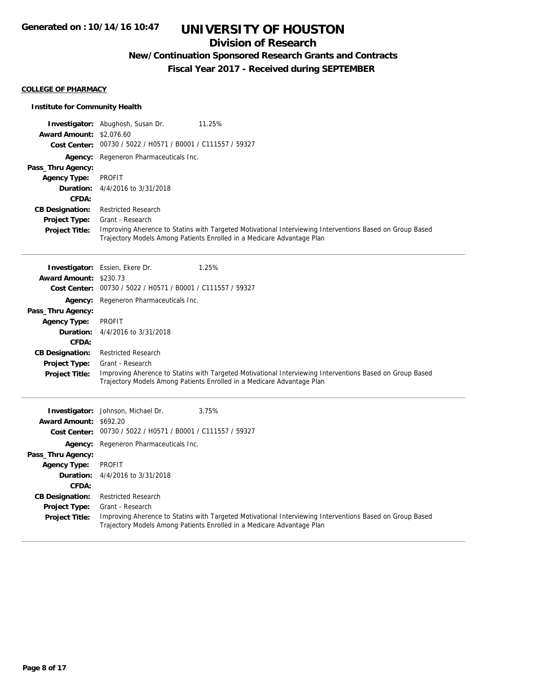### **Division of Research**

## **New/Continuation Sponsored Research Grants and Contracts**

**Fiscal Year 2017 - Received during SEPTEMBER**

#### **COLLEGE OF PHARMACY**

#### **Institute for Community Health**

|                                 | <b>Investigator:</b> Abughosh, Susan Dr.<br>11.25%                                                                                                                                 |
|---------------------------------|------------------------------------------------------------------------------------------------------------------------------------------------------------------------------------|
| <b>Award Amount: \$2,076.60</b> |                                                                                                                                                                                    |
|                                 | Cost Center: 00730 / 5022 / H0571 / B0001 / C111557 / 59327                                                                                                                        |
| Agency:                         | Regeneron Pharmaceuticals Inc.                                                                                                                                                     |
| Pass_Thru Agency:               |                                                                                                                                                                                    |
| <b>Agency Type:</b>             | <b>PROFIT</b>                                                                                                                                                                      |
| Duration:                       | 4/4/2016 to 3/31/2018                                                                                                                                                              |
| <b>CFDA:</b>                    |                                                                                                                                                                                    |
| <b>CB Designation:</b>          | <b>Restricted Research</b>                                                                                                                                                         |
| <b>Project Type:</b>            | Grant - Research                                                                                                                                                                   |
| <b>Project Title:</b>           | Improving Aherence to Statins with Targeted Motivational Interviewing Interventions Based on Group Based<br>Trajectory Models Among Patients Enrolled in a Medicare Advantage Plan |
|                                 | 1.25%<br>Investigator: Essien, Ekere Dr.                                                                                                                                           |
| <b>Award Amount: \$230.73</b>   |                                                                                                                                                                                    |
|                                 | Cost Center: 00730 / 5022 / H0571 / B0001 / C111557 / 59327                                                                                                                        |
| Agency:                         | Regeneron Pharmaceuticals Inc.                                                                                                                                                     |
| Pass_Thru Agency:               |                                                                                                                                                                                    |
| <b>Agency Type:</b>             | <b>PROFIT</b>                                                                                                                                                                      |
| Duration:                       | 4/4/2016 to 3/31/2018                                                                                                                                                              |
| CFDA:                           |                                                                                                                                                                                    |
| <b>CB Designation:</b>          | <b>Restricted Research</b>                                                                                                                                                         |
| <b>Project Type:</b>            | Grant - Research                                                                                                                                                                   |
| <b>Project Title:</b>           | Improving Aherence to Statins with Targeted Motivational Interviewing Interventions Based on Group Based<br>Trajectory Models Among Patients Enrolled in a Medicare Advantage Plan |
|                                 | 3.75%<br><b>Investigator:</b> Johnson, Michael Dr.                                                                                                                                 |
| Award Amount: \$692.20          |                                                                                                                                                                                    |
|                                 | Cost Center: 00730 / 5022 / H0571 / B0001 / C111557 / 59327                                                                                                                        |
| Agency:                         | Regeneron Pharmaceuticals Inc.                                                                                                                                                     |
| Pass_Thru Agency:               |                                                                                                                                                                                    |
| <b>Agency Type:</b>             | PROFIT                                                                                                                                                                             |
| Duration:                       | 4/4/2016 to 3/31/2018                                                                                                                                                              |
| CFDA:                           |                                                                                                                                                                                    |
| <b>CB Designation:</b>          | <b>Restricted Research</b>                                                                                                                                                         |
| <b>Project Type:</b>            | Grant - Research                                                                                                                                                                   |
| <b>Project Title:</b>           | Improving Aherence to Statins with Targeted Motivational Interviewing Interventions Based on Group Based<br>Trajectory Models Among Patients Enrolled in a Medicare Advantage Plan |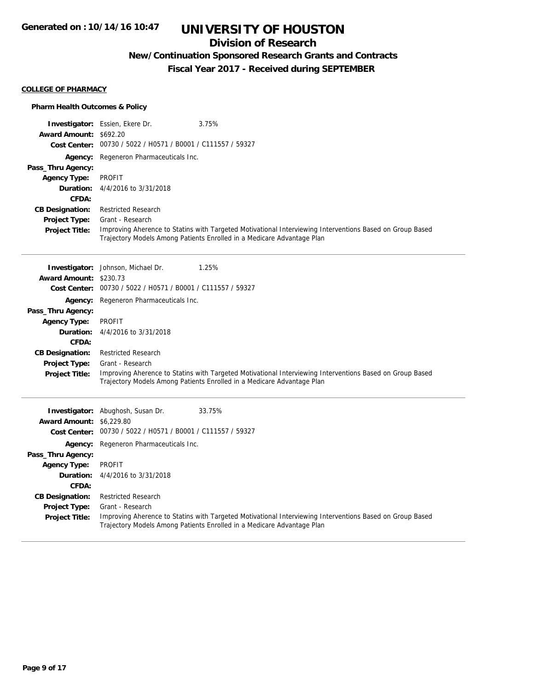### **Division of Research**

## **New/Continuation Sponsored Research Grants and Contracts**

**Fiscal Year 2017 - Received during SEPTEMBER**

#### **COLLEGE OF PHARMACY**

#### **Pharm Health Outcomes & Policy**

|                                 | <b>Investigator:</b> Essien, Ekere Dr.                      | 3.75%                                                                                                    |
|---------------------------------|-------------------------------------------------------------|----------------------------------------------------------------------------------------------------------|
| Award Amount: \$692.20          |                                                             |                                                                                                          |
|                                 | Cost Center: 00730 / 5022 / H0571 / B0001 / C111557 / 59327 |                                                                                                          |
|                                 | Agency: Regeneron Pharmaceuticals Inc.                      |                                                                                                          |
| Pass_Thru Agency:               |                                                             |                                                                                                          |
| <b>Agency Type:</b>             | <b>PROFIT</b>                                               |                                                                                                          |
| Duration:                       | 4/4/2016 to 3/31/2018                                       |                                                                                                          |
| CFDA:                           |                                                             |                                                                                                          |
| <b>CB Designation:</b>          | <b>Restricted Research</b>                                  |                                                                                                          |
| <b>Project Type:</b>            | Grant - Research                                            |                                                                                                          |
| <b>Project Title:</b>           |                                                             | Improving Aherence to Statins with Targeted Motivational Interviewing Interventions Based on Group Based |
|                                 |                                                             | Trajectory Models Among Patients Enrolled in a Medicare Advantage Plan                                   |
|                                 |                                                             |                                                                                                          |
|                                 | Investigator: Johnson, Michael Dr.                          | 1.25%                                                                                                    |
| Award Amount: \$230.73          |                                                             |                                                                                                          |
|                                 | Cost Center: 00730 / 5022 / H0571 / B0001 / C111557 / 59327 |                                                                                                          |
| Agency:                         | Regeneron Pharmaceuticals Inc.                              |                                                                                                          |
| Pass_Thru Agency:               |                                                             |                                                                                                          |
| <b>Agency Type:</b>             | <b>PROFIT</b>                                               |                                                                                                          |
| Duration:                       | 4/4/2016 to 3/31/2018                                       |                                                                                                          |
| CFDA:                           |                                                             |                                                                                                          |
| <b>CB Designation:</b>          | <b>Restricted Research</b>                                  |                                                                                                          |
| <b>Project Type:</b>            | Grant - Research                                            |                                                                                                          |
| <b>Project Title:</b>           |                                                             | Improving Aherence to Statins with Targeted Motivational Interviewing Interventions Based on Group Based |
|                                 |                                                             | Trajectory Models Among Patients Enrolled in a Medicare Advantage Plan                                   |
|                                 |                                                             |                                                                                                          |
|                                 | <b>Investigator:</b> Abughosh, Susan Dr.                    | 33.75%                                                                                                   |
| <b>Award Amount: \$6,229.80</b> |                                                             |                                                                                                          |
|                                 | Cost Center: 00730 / 5022 / H0571 / B0001 / C111557 / 59327 |                                                                                                          |
|                                 | Agency: Regeneron Pharmaceuticals Inc.                      |                                                                                                          |
| Pass_Thru Agency:               |                                                             |                                                                                                          |
| <b>Agency Type:</b>             | <b>PROFIT</b>                                               |                                                                                                          |
| Duration:                       | 4/4/2016 to 3/31/2018                                       |                                                                                                          |
| CFDA:                           |                                                             |                                                                                                          |
| <b>CB Designation:</b>          | <b>Restricted Research</b>                                  |                                                                                                          |
| <b>Project Type:</b>            | Grant - Research                                            |                                                                                                          |

**Project Title:** Improving Aherence to Statins with Targeted Motivational Interviewing Interventions Based on Group Based Trajectory Models Among Patients Enrolled in a Medicare Advantage Plan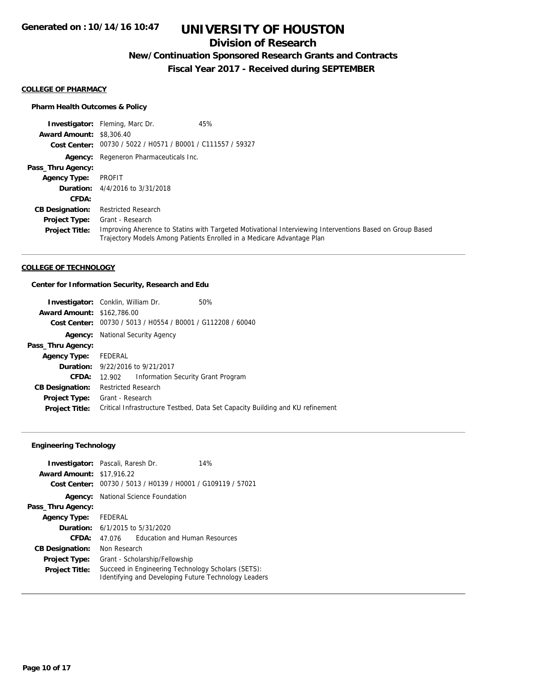### **Division of Research**

## **New/Continuation Sponsored Research Grants and Contracts**

**Fiscal Year 2017 - Received during SEPTEMBER**

#### **COLLEGE OF PHARMACY**

#### **Pharm Health Outcomes & Policy**

**Investigator:** Fleming, Marc Dr. 45% **Award Amount:** \$8,306.40 **Cost Center:** 00730 / 5022 / H0571 / B0001 / C111557 / 59327 **Agency:** Regeneron Pharmaceuticals Inc. **Pass\_Thru Agency: Agency Type:** PROFIT **Duration:** 4/4/2016 to 3/31/2018 **CFDA: CB Designation:** Restricted Research **Project Type: Project Title:** Improving Aherence to Statins with Targeted Motivational Interviewing Interventions Based on Group Based Trajectory Models Among Patients Enrolled in a Medicare Advantage Plan Grant - Research

#### **COLLEGE OF TECHNOLOGY**

#### **Center for Information Security, Research and Edu**

| <b>Investigator:</b> Conklin, William Dr. |                            |                                                             | 50%                                                                           |
|-------------------------------------------|----------------------------|-------------------------------------------------------------|-------------------------------------------------------------------------------|
| <b>Award Amount: \$162,786.00</b>         |                            |                                                             |                                                                               |
|                                           |                            | Cost Center: 00730 / 5013 / H0554 / B0001 / G112208 / 60040 |                                                                               |
| Agency:                                   |                            | National Security Agency                                    |                                                                               |
| Pass_Thru Agency:                         |                            |                                                             |                                                                               |
| <b>Agency Type:</b>                       | FEDERAL                    |                                                             |                                                                               |
|                                           |                            | <b>Duration:</b> 9/22/2016 to 9/21/2017                     |                                                                               |
| <b>CFDA:</b>                              | 12.902                     | Information Security Grant Program                          |                                                                               |
| <b>CB Designation:</b>                    | <b>Restricted Research</b> |                                                             |                                                                               |
| Project Type:                             | Grant - Research           |                                                             |                                                                               |
| <b>Project Title:</b>                     |                            |                                                             | Critical Infrastructure Testbed, Data Set Capacity Building and KU refinement |

#### **Engineering Technology**

|                                  | <b>Investigator:</b> Pascali, Raresh Dr.<br>14%                                                            |  |
|----------------------------------|------------------------------------------------------------------------------------------------------------|--|
| <b>Award Amount: \$17,916.22</b> |                                                                                                            |  |
| Cost Center:                     | 00730 / 5013 / H0139 / H0001 / G109119 / 57021                                                             |  |
| Agency:                          | <b>National Science Foundation</b>                                                                         |  |
| Pass_Thru Agency:                |                                                                                                            |  |
| <b>Agency Type:</b>              | FEDERAL                                                                                                    |  |
|                                  | <b>Duration:</b> $6/1/2015$ to $5/31/2020$                                                                 |  |
| CFDA:                            | <b>Education and Human Resources</b><br>47.076                                                             |  |
| <b>CB Designation:</b>           | Non Research                                                                                               |  |
| <b>Project Type:</b>             | Grant - Scholarship/Fellowship                                                                             |  |
| <b>Project Title:</b>            | Succeed in Engineering Technology Scholars (SETS):<br>Identifying and Developing Future Technology Leaders |  |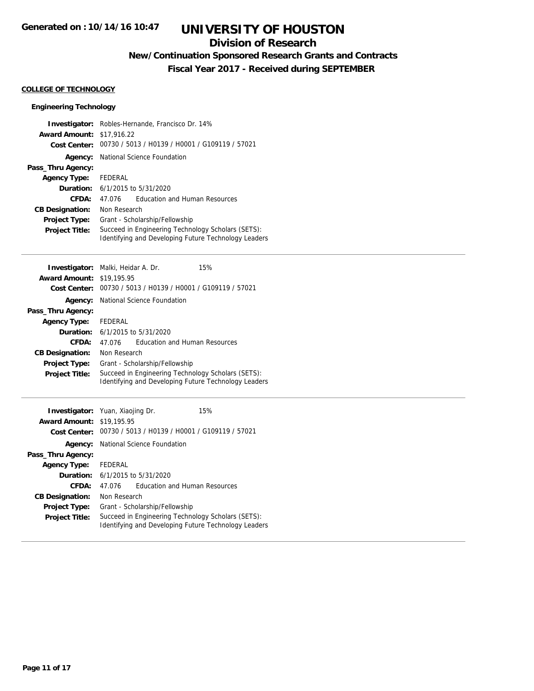### **Division of Research**

## **New/Continuation Sponsored Research Grants and Contracts**

**Fiscal Year 2017 - Received during SEPTEMBER**

#### **COLLEGE OF TECHNOLOGY**

#### **Engineering Technology**

| Investigator:          | Robles-Hernande, Francisco Dr. 14%                   |  |
|------------------------|------------------------------------------------------|--|
| <b>Award Amount:</b>   | \$17,916.22                                          |  |
| <b>Cost Center:</b>    | 00730 / 5013 / H0139 / H0001 / G109119 / 57021       |  |
| Agency:                | National Science Foundation                          |  |
| Pass_Thru Agency:      |                                                      |  |
| <b>Agency Type:</b>    | <b>FEDERAL</b>                                       |  |
| Duration:              | 6/1/2015 to 5/31/2020                                |  |
| <b>CFDA:</b>           | <b>Education and Human Resources</b><br>47.076       |  |
| <b>CB Designation:</b> | Non Research                                         |  |
| Project Type:          | Grant - Scholarship/Fellowship                       |  |
| <b>Project Title:</b>  | Succeed in Engineering Technology Scholars (SETS):   |  |
|                        | Identifying and Developing Future Technology Leaders |  |
|                        |                                                      |  |
| Investigator:          | 15%<br>Malki, Heidar A. Dr.                          |  |
| <b>Award Amount:</b>   | \$19,195.95                                          |  |
| <b>Cost Center:</b>    | 00730 / 5013 / H0139 / H0001 / G109119 / 57021       |  |
| Agency:                | National Science Foundation                          |  |
| Pass_Thru Agency:      |                                                      |  |
| <b>Agency Type:</b>    | <b>FEDERAL</b>                                       |  |
| Duration:              | 6/1/2015 to 5/31/2020                                |  |
| CFDA:                  | <b>Education and Human Resources</b><br>47.076       |  |
| <b>CB Designation:</b> | Non Research                                         |  |
| <b>Project Type:</b>   | Grant - Scholarship/Fellowship                       |  |
| <b>Project Title:</b>  | Succeed in Engineering Technology Scholars (SETS):   |  |
|                        | Identifying and Developing Future Technology Leaders |  |
|                        |                                                      |  |
| Investigator:          | 15%<br>Yuan, Xiaojing Dr.                            |  |
| <b>Award Amount:</b>   | \$19,195.95                                          |  |
| <b>Cost Center:</b>    | 00730 / 5013 / H0139 / H0001 / G109119 / 57021       |  |
| Agency:                | National Science Foundation                          |  |
| Pass_Thru Agency:      |                                                      |  |
| <b>Agency Type:</b>    | <b>FEDERAL</b>                                       |  |
| Duration:              | 6/1/2015 to 5/31/2020                                |  |
| CFDA:                  | <b>Education and Human Resources</b><br>47.076       |  |
| <b>CB Designation:</b> | Non Research                                         |  |
| Project Type:          | Grant - Scholarship/Fellowship                       |  |
| Project Title:         | Succeed in Engineering Technology Scholars (SETS):   |  |
|                        | Identifying and Developing Future Technology Leaders |  |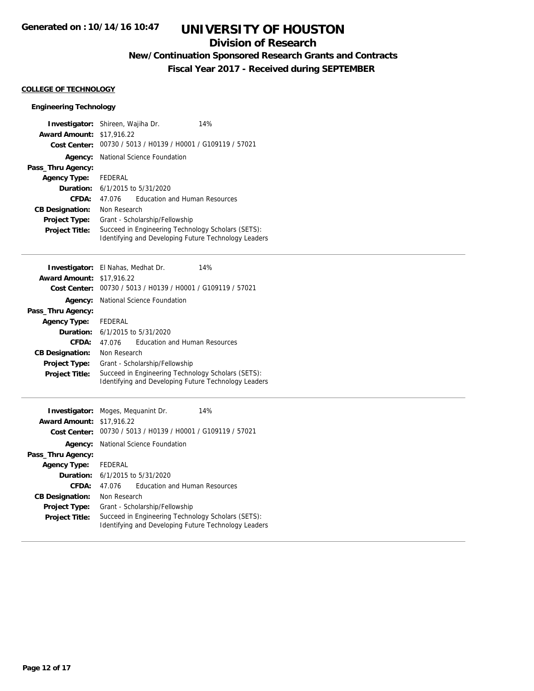### **Division of Research**

## **New/Continuation Sponsored Research Grants and Contracts**

**Fiscal Year 2017 - Received during SEPTEMBER**

#### **COLLEGE OF TECHNOLOGY**

#### **Engineering Technology**

| Investigator:                         | Shireen, Wajiha Dr.<br>14%                                  |  |
|---------------------------------------|-------------------------------------------------------------|--|
| <b>Award Amount:</b>                  | \$17,916.22                                                 |  |
| <b>Cost Center:</b>                   | 00730 / 5013 / H0139 / H0001 / G109119 / 57021              |  |
| Agency:                               | National Science Foundation                                 |  |
| Pass_Thru Agency:                     |                                                             |  |
| <b>Agency Type:</b>                   | <b>FEDERAL</b>                                              |  |
| Duration:                             | 6/1/2015 to 5/31/2020                                       |  |
| CFDA:                                 | <b>Education and Human Resources</b><br>47.076              |  |
| <b>CB Designation:</b>                | Non Research                                                |  |
| <b>Project Type:</b>                  | Grant - Scholarship/Fellowship                              |  |
| Project Title:                        | Succeed in Engineering Technology Scholars (SETS):          |  |
|                                       | <b>Identifying and Developing Future Technology Leaders</b> |  |
|                                       |                                                             |  |
| Investigator:                         | El Nahas, Medhat Dr.<br>14%                                 |  |
| <b>Award Amount:</b>                  | \$17,916.22                                                 |  |
| <b>Cost Center:</b>                   | 00730 / 5013 / H0139 / H0001 / G109119 / 57021              |  |
| Agency:                               | National Science Foundation                                 |  |
| Pass_Thru Agency:                     |                                                             |  |
| <b>Agency Type:</b>                   | <b>FEDERAL</b>                                              |  |
| Duration:                             | 6/1/2015 to 5/31/2020                                       |  |
| CFDA:                                 | <b>Education and Human Resources</b><br>47.076              |  |
| <b>CB Designation:</b>                | Non Research                                                |  |
| <b>Project Type:</b>                  | Grant - Scholarship/Fellowship                              |  |
| <b>Project Title:</b>                 | Succeed in Engineering Technology Scholars (SETS):          |  |
|                                       |                                                             |  |
|                                       | Identifying and Developing Future Technology Leaders        |  |
|                                       |                                                             |  |
|                                       | 14%                                                         |  |
| Investigator:<br><b>Award Amount:</b> | Moges, Meguanint Dr.<br>\$17,916.22                         |  |
| <b>Cost Center:</b>                   | 00730 / 5013 / H0139 / H0001 / G109119 / 57021              |  |
|                                       | National Science Foundation                                 |  |
| Agency:<br>Pass_Thru Agency:          |                                                             |  |
|                                       | FEDERAL                                                     |  |
| <b>Agency Type:</b><br>Duration:      | 6/1/2015 to 5/31/2020                                       |  |
| CFDA:                                 | <b>Education and Human Resources</b><br>47.076              |  |
| <b>CB Designation:</b>                | Non Research                                                |  |
| <b>Project Type:</b>                  | Grant - Scholarship/Fellowship                              |  |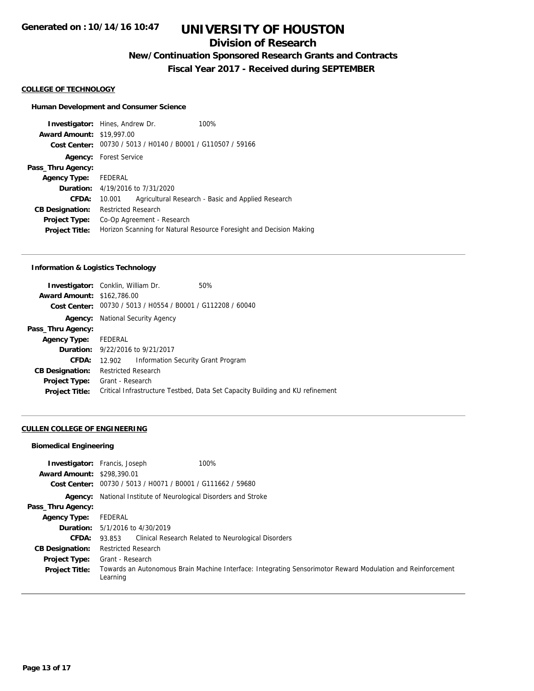## **Division of Research**

**New/Continuation Sponsored Research Grants and Contracts**

**Fiscal Year 2017 - Received during SEPTEMBER**

#### **COLLEGE OF TECHNOLOGY**

#### **Human Development and Consumer Science**

|                                  | <b>Investigator:</b> Hines, Andrew Dr.                      | 100%                                                                |
|----------------------------------|-------------------------------------------------------------|---------------------------------------------------------------------|
| <b>Award Amount: \$19,997.00</b> |                                                             |                                                                     |
|                                  | Cost Center: 00730 / 5013 / H0140 / B0001 / G110507 / 59166 |                                                                     |
|                                  | <b>Agency:</b> Forest Service                               |                                                                     |
| Pass_Thru Agency:                |                                                             |                                                                     |
| <b>Agency Type:</b>              | FEDERAL                                                     |                                                                     |
|                                  | <b>Duration:</b> 4/19/2016 to 7/31/2020                     |                                                                     |
| CFDA:                            | 10.001                                                      | Agricultural Research - Basic and Applied Research                  |
| <b>CB Designation:</b>           | <b>Restricted Research</b>                                  |                                                                     |
| <b>Project Type:</b>             | Co-Op Agreement - Research                                  |                                                                     |
| <b>Project Title:</b>            |                                                             | Horizon Scanning for Natural Resource Foresight and Decision Making |
|                                  |                                                             |                                                                     |

#### **Information & Logistics Technology**

|                      | 50%                                                                                                                                                                                                                                                                                                          |
|----------------------|--------------------------------------------------------------------------------------------------------------------------------------------------------------------------------------------------------------------------------------------------------------------------------------------------------------|
|                      |                                                                                                                                                                                                                                                                                                              |
|                      |                                                                                                                                                                                                                                                                                                              |
|                      |                                                                                                                                                                                                                                                                                                              |
|                      |                                                                                                                                                                                                                                                                                                              |
| Agency Type: FEDERAL |                                                                                                                                                                                                                                                                                                              |
|                      |                                                                                                                                                                                                                                                                                                              |
| 12.902               |                                                                                                                                                                                                                                                                                                              |
|                      |                                                                                                                                                                                                                                                                                                              |
|                      |                                                                                                                                                                                                                                                                                                              |
|                      | Critical Infrastructure Testbed, Data Set Capacity Building and KU refinement                                                                                                                                                                                                                                |
|                      | <b>Investigator:</b> Conklin, William Dr.<br><b>Award Amount: \$162,786.00</b><br>Cost Center: 00730 / 5013 / H0554 / B0001 / G112208 / 60040<br>National Security Agency<br><b>Duration:</b> 9/22/2016 to 9/21/2017<br>Information Security Grant Program<br><b>Restricted Research</b><br>Grant - Research |

#### **CULLEN COLLEGE OF ENGINEERING**

#### **Biomedical Engineering**

| <b>Award Amount: \$298,390.01</b> | 100%<br><b>Investigator:</b> Francis, Joseph                                                                            |
|-----------------------------------|-------------------------------------------------------------------------------------------------------------------------|
|                                   | Cost Center: 00730 / 5013 / H0071 / B0001 / G111662 / 59680                                                             |
|                                   | <b>Agency:</b> National Institute of Neurological Disorders and Stroke                                                  |
| Pass_Thru Agency:                 |                                                                                                                         |
| Agency Type:                      | FEDERAL                                                                                                                 |
|                                   | <b>Duration:</b> 5/1/2016 to 4/30/2019                                                                                  |
| <b>CFDA:</b>                      | Clinical Research Related to Neurological Disorders<br>93.853                                                           |
| <b>CB Designation:</b>            | <b>Restricted Research</b>                                                                                              |
| <b>Project Type:</b>              | Grant - Research                                                                                                        |
| <b>Project Title:</b>             | Towards an Autonomous Brain Machine Interface: Integrating Sensorimotor Reward Modulation and Reinforcement<br>Learning |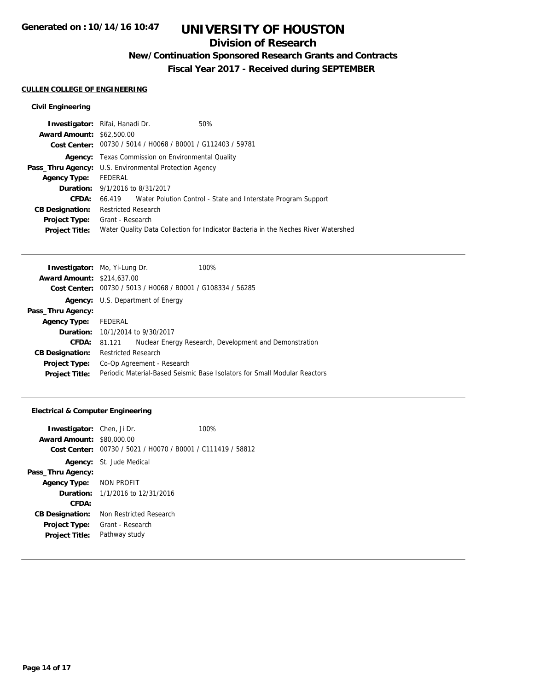### **Division of Research**

## **New/Continuation Sponsored Research Grants and Contracts**

**Fiscal Year 2017 - Received during SEPTEMBER**

#### **CULLEN COLLEGE OF ENGINEERING**

#### **Civil Engineering**

| Investigator: Rifai, Hanadi Dr.                               |                            |                                                             | 50%                                                                                |
|---------------------------------------------------------------|----------------------------|-------------------------------------------------------------|------------------------------------------------------------------------------------|
| <b>Award Amount: \$62,500.00</b>                              |                            |                                                             |                                                                                    |
|                                                               |                            | Cost Center: 00730 / 5014 / H0068 / B0001 / G112403 / 59781 |                                                                                    |
|                                                               |                            | <b>Agency:</b> Texas Commission on Environmental Quality    |                                                                                    |
| <b>Pass_Thru Agency:</b> U.S. Environmental Protection Agency |                            |                                                             |                                                                                    |
| <b>Agency Type:</b>                                           | FEDERAL                    |                                                             |                                                                                    |
| <b>Duration:</b> 9/1/2016 to 8/31/2017                        |                            |                                                             |                                                                                    |
| CFDA:                                                         |                            |                                                             | 66.419 Water Polution Control - State and Interstate Program Support               |
| <b>CB Designation:</b>                                        | <b>Restricted Research</b> |                                                             |                                                                                    |
| Project Type:                                                 | Grant - Research           |                                                             |                                                                                    |
| <b>Project Title:</b>                                         |                            |                                                             | Water Quality Data Collection for Indicator Bacteria in the Neches River Watershed |
|                                                               |                            |                                                             |                                                                                    |

| <b>Investigator:</b> Mo, Yi-Lung Dr. |                                         |                                                             | 100%                                                                      |
|--------------------------------------|-----------------------------------------|-------------------------------------------------------------|---------------------------------------------------------------------------|
| <b>Award Amount: \$214,637,00</b>    |                                         |                                                             |                                                                           |
|                                      |                                         | Cost Center: 00730 / 5013 / H0068 / B0001 / G108334 / 56285 |                                                                           |
| Agency:                              |                                         | U.S. Department of Energy                                   |                                                                           |
| Pass_Thru Agency:                    |                                         |                                                             |                                                                           |
| <b>Agency Type:</b>                  | FEDERAL                                 |                                                             |                                                                           |
|                                      | <b>Duration:</b> 10/1/2014 to 9/30/2017 |                                                             |                                                                           |
| CFDA:                                | 81.121                                  |                                                             | Nuclear Energy Research, Development and Demonstration                    |
| <b>CB Designation:</b>               | <b>Restricted Research</b>              |                                                             |                                                                           |
| <b>Project Type:</b>                 |                                         | Co-Op Agreement - Research                                  |                                                                           |
| <b>Project Title:</b>                |                                         |                                                             | Periodic Material-Based Seismic Base Isolators for Small Modular Reactors |
|                                      |                                         |                                                             |                                                                           |

#### **Electrical & Computer Engineering**

| Investigator: Chen, Ji Dr.<br><b>Award Amount: \$80,000.00</b><br>Cost Center: | 00730 / 5021 / H0070 / B0001 / C111419 / 58812 | 100% |
|--------------------------------------------------------------------------------|------------------------------------------------|------|
|                                                                                | <b>Agency:</b> St. Jude Medical                |      |
| Pass_Thru Agency:                                                              |                                                |      |
| Agency Type: NON PROFIT                                                        |                                                |      |
|                                                                                | <b>Duration:</b> 1/1/2016 to 12/31/2016        |      |
| CFDA:                                                                          |                                                |      |
| <b>CB Designation:</b>                                                         | Non Restricted Research                        |      |
| <b>Project Type:</b>                                                           | Grant - Research                               |      |
| <b>Project Title:</b>                                                          | Pathway study                                  |      |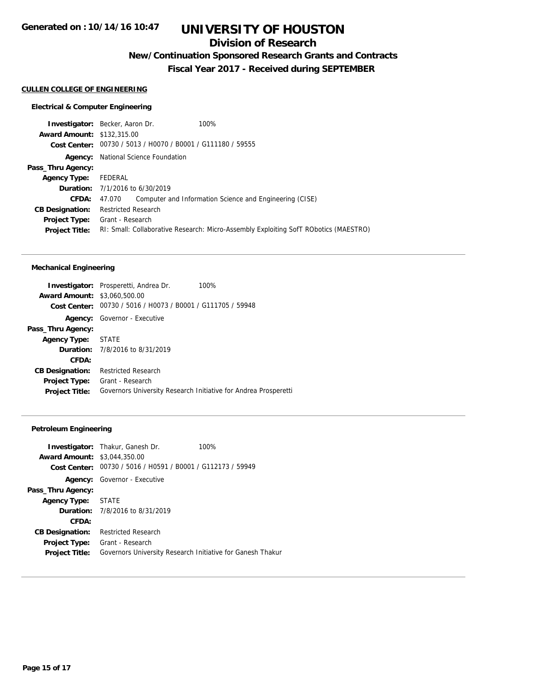### **Division of Research**

**New/Continuation Sponsored Research Grants and Contracts**

**Fiscal Year 2017 - Received during SEPTEMBER**

#### **CULLEN COLLEGE OF ENGINEERING**

#### **Electrical & Computer Engineering**

|                                   | <b>Investigator:</b> Becker, Aaron Dr.                      | 100%                                                                                 |
|-----------------------------------|-------------------------------------------------------------|--------------------------------------------------------------------------------------|
| <b>Award Amount: \$132,315.00</b> |                                                             |                                                                                      |
|                                   | Cost Center: 00730 / 5013 / H0070 / B0001 / G111180 / 59555 |                                                                                      |
|                                   | <b>Agency:</b> National Science Foundation                  |                                                                                      |
| Pass_Thru Agency:                 |                                                             |                                                                                      |
| <b>Agency Type:</b>               | FEDERAL                                                     |                                                                                      |
|                                   | <b>Duration:</b> 7/1/2016 to 6/30/2019                      |                                                                                      |
| <b>CFDA:</b>                      | 47.070                                                      | Computer and Information Science and Engineering (CISE)                              |
| <b>CB Designation:</b>            | <b>Restricted Research</b>                                  |                                                                                      |
| <b>Project Type:</b>              | Grant - Research                                            |                                                                                      |
| <b>Project Title:</b>             |                                                             | RI: Small: Collaborative Research: Micro-Assembly Exploiting SofT RObotics (MAESTRO) |
|                                   |                                                             |                                                                                      |

#### **Mechanical Engineering**

|                                     | Investigator: Prosperetti, Andrea Dr.                           | 100% |
|-------------------------------------|-----------------------------------------------------------------|------|
| <b>Award Amount: \$3,060,500.00</b> |                                                                 |      |
|                                     | Cost Center: 00730 / 5016 / H0073 / B0001 / G111705 / 59948     |      |
|                                     | <b>Agency:</b> Governor - Executive                             |      |
| Pass_Thru Agency:                   |                                                                 |      |
| Agency Type: STATE                  |                                                                 |      |
|                                     | <b>Duration:</b> 7/8/2016 to 8/31/2019                          |      |
| CFDA:                               |                                                                 |      |
| <b>CB Designation:</b>              | <b>Restricted Research</b>                                      |      |
| <b>Project Type:</b>                | Grant - Research                                                |      |
| <b>Project Title:</b>               | Governors University Research Initiative for Andrea Prosperetti |      |

#### **Petroleum Engineering**

| <b>Award Amount: \$3,044,350.00</b> | <b>Investigator:</b> Thakur, Ganesh Dr.<br>100%<br>Cost Center: 00730 / 5016 / H0591 / B0001 / G112173 / 59949 |  |
|-------------------------------------|----------------------------------------------------------------------------------------------------------------|--|
|                                     | <b>Agency:</b> Governor - Executive                                                                            |  |
| Pass_Thru Agency:                   |                                                                                                                |  |
| Agency Type: STATE                  |                                                                                                                |  |
|                                     | <b>Duration:</b> $7/8/2016$ to $8/31/2019$                                                                     |  |
| CFDA:                               |                                                                                                                |  |
| <b>CB Designation:</b>              | <b>Restricted Research</b>                                                                                     |  |
| <b>Project Type:</b>                | Grant - Research                                                                                               |  |
| <b>Project Title:</b>               | Governors University Research Initiative for Ganesh Thakur                                                     |  |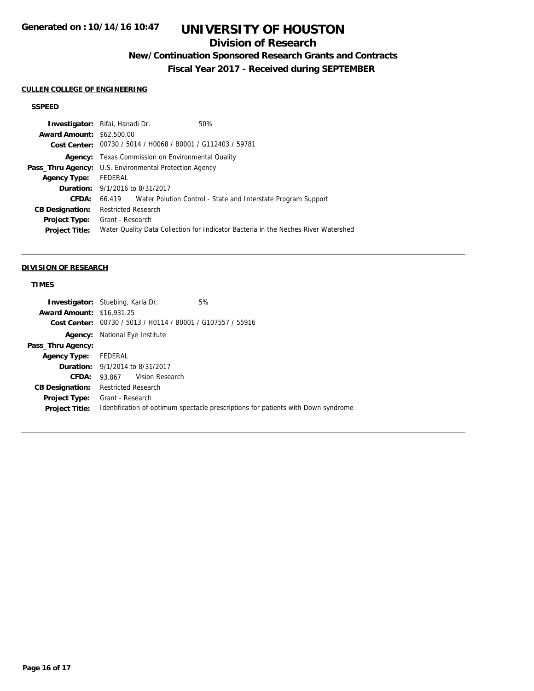## **Division of Research**

## **New/Continuation Sponsored Research Grants and Contracts**

**Fiscal Year 2017 - Received during SEPTEMBER**

#### **CULLEN COLLEGE OF ENGINEERING**

### **SSPEED**

| Investigator: Rifai, Hanadi Dr.                               |                            |                                                             | 50%                                                                                |
|---------------------------------------------------------------|----------------------------|-------------------------------------------------------------|------------------------------------------------------------------------------------|
| <b>Award Amount: \$62,500.00</b>                              |                            |                                                             |                                                                                    |
|                                                               |                            | Cost Center: 00730 / 5014 / H0068 / B0001 / G112403 / 59781 |                                                                                    |
|                                                               |                            | <b>Agency:</b> Texas Commission on Environmental Quality    |                                                                                    |
| <b>Pass_Thru Agency:</b> U.S. Environmental Protection Agency |                            |                                                             |                                                                                    |
| <b>Agency Type:</b>                                           | FEDERAL                    |                                                             |                                                                                    |
| <b>Duration:</b> 9/1/2016 to 8/31/2017                        |                            |                                                             |                                                                                    |
| CFDA:                                                         |                            |                                                             | 66.419 Water Polution Control - State and Interstate Program Support               |
| <b>CB Designation:</b>                                        | <b>Restricted Research</b> |                                                             |                                                                                    |
| Project Type:                                                 | Grant - Research           |                                                             |                                                                                    |
| <b>Project Title:</b>                                         |                            |                                                             | Water Quality Data Collection for Indicator Bacteria in the Neches River Watershed |
|                                                               |                            |                                                             |                                                                                    |

#### **DIVISION OF RESEARCH**

### **TIMES**

|                                  | <b>Investigator:</b> Stuebing, Karla Dr.                    | 5%                                                                                |
|----------------------------------|-------------------------------------------------------------|-----------------------------------------------------------------------------------|
| <b>Award Amount: \$16,931.25</b> |                                                             |                                                                                   |
|                                  | Cost Center: 00730 / 5013 / H0114 / B0001 / G107557 / 55916 |                                                                                   |
| Agency:                          | National Eye Institute                                      |                                                                                   |
| Pass_Thru Agency:                |                                                             |                                                                                   |
| <b>Agency Type:</b>              | FEDERAL                                                     |                                                                                   |
|                                  | <b>Duration:</b> 9/1/2014 to 8/31/2017                      |                                                                                   |
| CFDA:                            | 93.867 Vision Research                                      |                                                                                   |
| <b>CB Designation:</b>           | Restricted Research                                         |                                                                                   |
| <b>Project Type:</b>             | Grant - Research                                            |                                                                                   |
| <b>Project Title:</b>            |                                                             | Identification of optimum spectacle prescriptions for patients with Down syndrome |